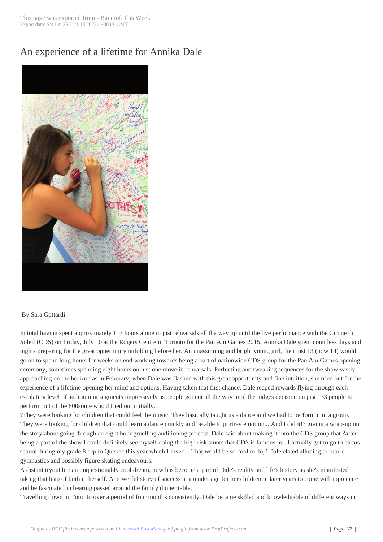## An experience of a [lifetime for A](http://www.bancroftthisweek.com/?p=4805)nnika Dale



## By Sara Gottardi

In total having spent approximately 117 hours alone in just rehearsals all the way up until the live performance with the Cirque du Soleil (CDS) on Friday, July 10 at the Rogers Centre in Toronto for the Pan Am Games 2015, Annika Dale spent countless days and nights preparing for the great oppertunity unfolding before her. An unassuming and bright young girl, then just 13 (now 14) would go on to spend long hours for weeks on end working towards being a part of nationwide CDS group for the Pan Am Games opening ceremony, sometimes spending eight hours on just one move in rehearsals. Perfecting and tweaking sequences for the show vastly approaching on the horizon as in February, when Dale was flashed with this great opportunity and fine intuition, she tried out for the experience of a lifetime opening her mind and options. Having taken that first chance, Dale reaped rewards flying through each escalating level of auditioning segments impressively as people got cut all the way until the judges decision on just 133 people to perform out of the 800some who'd tried out initially.

?They were looking for children that could feel the music. They basically taught us a dance and we had to perform it in a group. They were looking for children that could learn a dance quickly and be able to portray emotion... And I did it!? giving a wrap-up on the story about going through an eight hour gruelling auditioning process, Dale said about making it into the CDS group that ?after being a part of the show I could definitely see myself doing the high risk stunts that CDS is famous for. I actually got to go to circus school during my grade 8 trip to Quebec this year which I loved... That would be so cool to do,? Dale elated alluding to future gymnastics and possibly figure skating endeavours.

A distant tryout but an unquestionably cool dream, now has become a part of Dale's reality and life's history as she's manifested taking that leap of faith in herself. A powerful story of success at a tender age for her children in later years to come will appreciate and be fascinated in hearing passed around the family dinner table.

Travelling down to Toronto over a period of four months consistently, Dale became skilled and knowledgable of different ways in